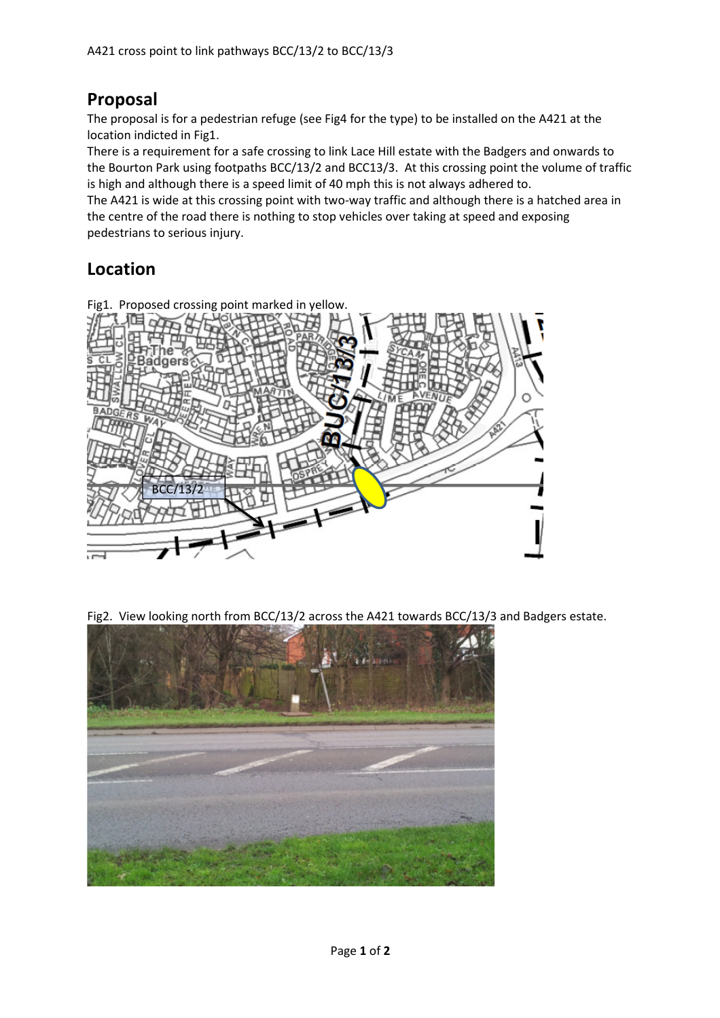## **Proposal**

The proposal is for a pedestrian refuge (see Fig4 for the type) to be installed on the A421 at the location indicted in Fig1.

There is a requirement for a safe crossing to link Lace Hill estate with the Badgers and onwards to the Bourton Park using footpaths BCC/13/2 and BCC13/3. At this crossing point the volume of traffic is high and although there is a speed limit of 40 mph this is not always adhered to.

The A421 is wide at this crossing point with two-way traffic and although there is a hatched area in the centre of the road there is nothing to stop vehicles over taking at speed and exposing pedestrians to serious injury.

## **Location**



Fig2. View looking north from BCC/13/2 across the A421 towards BCC/13/3 and Badgers estate.